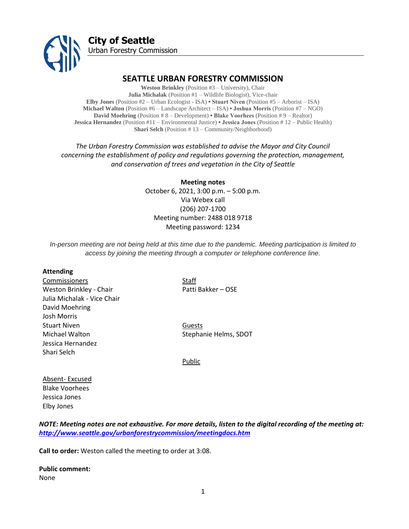

# **SEATTLE URBAN FORESTRY COMMISSION**

**Weston Brinkley** (Position #3 – University), Chair **Julia Michalak** (Position #1 – Wildlife Biologist), Vice-chair **Elby Jones** (Position #2 – Urban Ecologist - ISA) **• Stuart Niven** (Position #5 – Arborist – ISA) **Michael Walton** (Position #6 – Landscape Architect – ISA) **• Joshua Morris** (Position #7 – NGO) **David Moehring** (Position # 8 – Development) **• Blake Voorhees** (Position # 9 – Realtor) **Jessica Hernandez** (Position #11 – Environmental Justice) **• Jessica Jones** (Position # 12 – Public Health) **Shari Selch** (Position # 13 – Community/Neighborhood)

*The Urban Forestry Commission was established to advise the Mayor and City Council concerning the establishment of policy and regulations governing the protection, management, and conservation of trees and vegetation in the City of Seattle*

> **Meeting notes** October 6, 2021, 3:00 p.m. – 5:00 p.m. Via Webex call (206) 207-1700 Meeting number: 2488 018 9718 Meeting password: 1234

*In-person meeting are not being held at this time due to the pandemic. Meeting participation is limited to access by joining the meeting through a computer or telephone conference line.*

#### **Attending**

Commissioners Staff Weston Brinkley - Chair Patti Bakker – OSE Julia Michalak - Vice Chair David Moehring Josh Morris Stuart Niven **Guests** Michael Walton Stephanie Helms, SDOT Jessica Hernandez Shari Selch

Public

Absent- Excused Blake Voorhees Jessica Jones Elby Jones

*NOTE: Meeting notes are not exhaustive. For more details, listen to the digital recording of the meeting at: <http://www.seattle.gov/urbanforestrycommission/meetingdocs.htm>*

**Call to order:** Weston called the meeting to order at 3:08.

**Public comment:**  None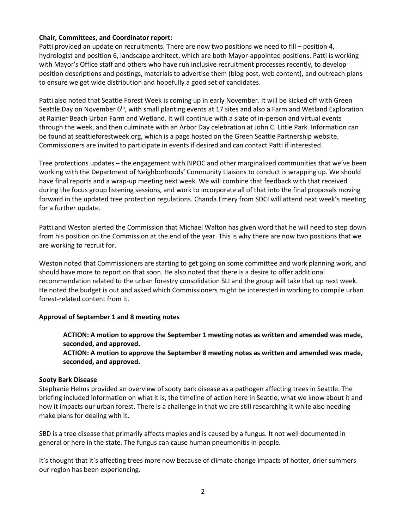# **Chair, Committees, and Coordinator report:**

Patti provided an update on recruitments. There are now two positions we need to fill – position 4, hydrologist and position 6, landscape architect, which are both Mayor-appointed positions. Patti is working with Mayor's Office staff and others who have run inclusive recruitment processes recently, to develop position descriptions and postings, materials to advertise them (blog post, web content), and outreach plans to ensure we get wide distribution and hopefully a good set of candidates.

Patti also noted that Seattle Forest Week is coming up in early November. It will be kicked off with Green Seattle Day on November 6<sup>th</sup>, with small planting events at 17 sites and also a Farm and Wetland Exploration at Rainier Beach Urban Farm and Wetland. It will continue with a slate of in-person and virtual events through the week, and then culminate with an Arbor Day celebration at John C. Little Park. Information can be found at seattleforestweek.org, which is a page hosted on the Green Seattle Partnership website. Commissioners are invited to participate in events if desired and can contact Patti if interested.

Tree protections updates – the engagement with BIPOC and other marginalized communities that we've been working with the Department of Neighborhoods' Community Liaisons to conduct is wrapping up. We should have final reports and a wrap-up meeting next week. We will combine that feedback with that received during the focus group listening sessions, and work to incorporate all of that into the final proposals moving forward in the updated tree protection regulations. Chanda Emery from SDCI will attend next week's meeting for a further update.

Patti and Weston alerted the Commission that Michael Walton has given word that he will need to step down from his position on the Commission at the end of the year. This is why there are now two positions that we are working to recruit for.

Weston noted that Commissioners are starting to get going on some committee and work planning work, and should have more to report on that soon. He also noted that there is a desire to offer additional recommendation related to the urban forestry consolidation SLI and the group will take that up next week. He noted the budget is out and asked which Commissioners might be interested in working to compile urban forest-related content from it.

# **Approval of September 1 and 8 meeting notes**

**ACTION: A motion to approve the September 1 meeting notes as written and amended was made, seconded, and approved.** 

**ACTION: A motion to approve the September 8 meeting notes as written and amended was made, seconded, and approved.** 

#### **Sooty Bark Disease**

Stephanie Helms provided an overview of sooty bark disease as a pathogen affecting trees in Seattle. The briefing included information on what it is, the timeline of action here in Seattle, what we know about it and how it impacts our urban forest. There is a challenge in that we are still researching it while also needing make plans for dealing with it.

SBD is a tree disease that primarily affects maples and is caused by a fungus. It not well documented in general or here in the state. The fungus can cause human pneumonitis in people.

It's thought that it's affecting trees more now because of climate change impacts of hotter, drier summers our region has been experiencing.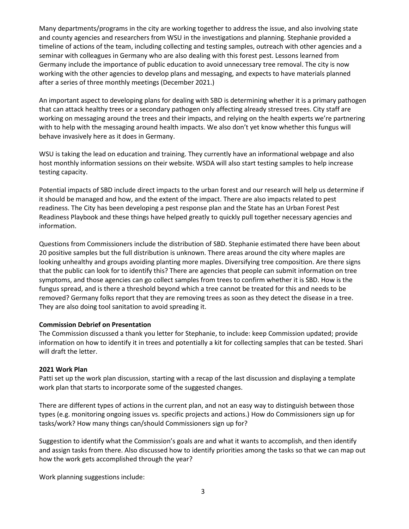Many departments/programs in the city are working together to address the issue, and also involving state and county agencies and researchers from WSU in the investigations and planning. Stephanie provided a timeline of actions of the team, including collecting and testing samples, outreach with other agencies and a seminar with colleagues in Germany who are also dealing with this forest pest. Lessons learned from Germany include the importance of public education to avoid unnecessary tree removal. The city is now working with the other agencies to develop plans and messaging, and expects to have materials planned after a series of three monthly meetings (December 2021.)

An important aspect to developing plans for dealing with SBD is determining whether it is a primary pathogen that can attack healthy trees or a secondary pathogen only affecting already stressed trees. City staff are working on messaging around the trees and their impacts, and relying on the health experts we're partnering with to help with the messaging around health impacts. We also don't yet know whether this fungus will behave invasively here as it does in Germany.

WSU is taking the lead on education and training. They currently have an informational webpage and also host monthly information sessions on their website. WSDA will also start testing samples to help increase testing capacity.

Potential impacts of SBD include direct impacts to the urban forest and our research will help us determine if it should be managed and how, and the extent of the impact. There are also impacts related to pest readiness. The City has been developing a pest response plan and the State has an Urban Forest Pest Readiness Playbook and these things have helped greatly to quickly pull together necessary agencies and information.

Questions from Commissioners include the distribution of SBD. Stephanie estimated there have been about 20 positive samples but the full distribution is unknown. There areas around the city where maples are looking unhealthy and groups avoiding planting more maples. Diversifying tree composition. Are there signs that the public can look for to identify this? There are agencies that people can submit information on tree symptoms, and those agencies can go collect samples from trees to confirm whether it is SBD. How is the fungus spread, and is there a threshold beyond which a tree cannot be treated for this and needs to be removed? Germany folks report that they are removing trees as soon as they detect the disease in a tree. They are also doing tool sanitation to avoid spreading it.

# **Commission Debrief on Presentation**

The Commission discussed a thank you letter for Stephanie, to include: keep Commission updated; provide information on how to identify it in trees and potentially a kit for collecting samples that can be tested. Shari will draft the letter.

#### **2021 Work Plan**

Patti set up the work plan discussion, starting with a recap of the last discussion and displaying a template work plan that starts to incorporate some of the suggested changes.

There are different types of actions in the current plan, and not an easy way to distinguish between those types (e.g. monitoring ongoing issues vs. specific projects and actions.) How do Commissioners sign up for tasks/work? How many things can/should Commissioners sign up for?

Suggestion to identify what the Commission's goals are and what it wants to accomplish, and then identify and assign tasks from there. Also discussed how to identify priorities among the tasks so that we can map out how the work gets accomplished through the year?

Work planning suggestions include: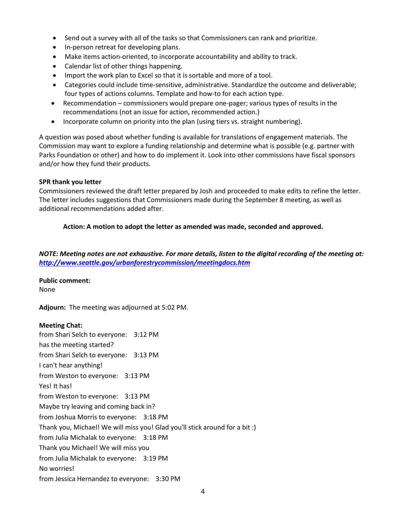- Send out a survey with all of the tasks so that Commissioners can rank and prioritize.
- In-person retreat for developing plans.
- Make items action-oriented, to incorporate accountability and ability to track.
- Calendar list of other things happening.
- Import the work plan to Excel so that it is sortable and more of a tool.
- Categories could include time-sensitive, administrative. Standardize the outcome and deliverable; four types of actions columns. Template and how-to for each action type.
- Recommendation commissioners would prepare one-pager; various types of results in the recommendations (not an issue for action, recommended action.)
- Incorporate column on priority into the plan (using tiers vs. straight numbering).

A question was posed about whether funding is available for translations of engagement materials. The Commission may want to explore a funding relationship and determine what is possible (e.g. partner with Parks Foundation or other) and how to do implement it. Look into other commissions have fiscal sponsors and/or how they fund their products.

# **SPR thank you letter**

Commissioners reviewed the draft letter prepared by Josh and proceeded to make edits to refine the letter. The letter includes suggestions that Commissioners made during the September 8 meeting, as well as additional recommendations added after.

# **Action: A motion to adopt the letter as amended was made, seconded and approved.**

*NOTE: Meeting notes are not exhaustive. For more details, listen to the digital recording of the meeting at: <http://www.seattle.gov/urbanforestrycommission/meetingdocs.htm>*

# **Public comment:**

None

**Adjourn:** The meeting was adjourned at 5:02 PM.

# **Meeting Chat:**

from Shari Selch to everyone: 3:12 PM has the meeting started? from Shari Selch to everyone: 3:13 PM I can't hear anything! from Weston to everyone: 3:13 PM Yes! It has! from Weston to everyone: 3:13 PM Maybe try leaving and coming back in? from Joshua Morris to everyone: 3:18 PM Thank you, Michael! We will miss you! Glad you'll stick around for a bit :) from Julia Michalak to everyone: 3:18 PM Thank you Michael! We will miss you from Julia Michalak to everyone: 3:19 PM No worries! from Jessica Hernandez to everyone: 3:30 PM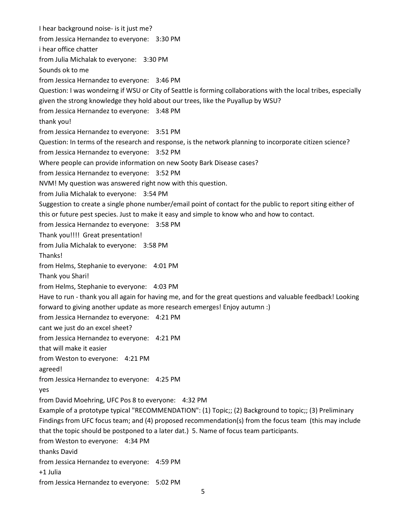I hear background noise- is it just me? from Jessica Hernandez to everyone: 3:30 PM i hear office chatter from Julia Michalak to everyone: 3:30 PM Sounds ok to me from Jessica Hernandez to everyone: 3:46 PM Question: I was wondeirng if WSU or City of Seattle is forming collaborations with the local tribes, especially given the strong knowledge they hold about our trees, like the Puyallup by WSU? from Jessica Hernandez to everyone: 3:48 PM thank you! from Jessica Hernandez to everyone: 3:51 PM Question: In terms of the research and response, is the network planning to incorporate citizen science? from Jessica Hernandez to everyone: 3:52 PM Where people can provide information on new Sooty Bark Disease cases? from Jessica Hernandez to everyone: 3:52 PM NVM! My question was answered right now with this question. from Julia Michalak to everyone: 3:54 PM Suggestion to create a single phone number/email point of contact for the public to report siting either of this or future pest species. Just to make it easy and simple to know who and how to contact. from Jessica Hernandez to everyone: 3:58 PM Thank you!!!! Great presentation! from Julia Michalak to everyone: 3:58 PM Thanks! from Helms, Stephanie to everyone: 4:01 PM Thank you Shari! from Helms, Stephanie to everyone: 4:03 PM Have to run - thank you all again for having me, and for the great questions and valuable feedback! Looking forward to giving another update as more research emerges! Enjoy autumn :) from Jessica Hernandez to everyone: 4:21 PM cant we just do an excel sheet? from Jessica Hernandez to everyone: 4:21 PM that will make it easier from Weston to everyone: 4:21 PM agreed! from Jessica Hernandez to everyone: 4:25 PM yes from David Moehring, UFC Pos 8 to everyone: 4:32 PM Example of a prototype typical "RECOMMENDATION": (1) Topic;; (2) Background to topic;; (3) Preliminary Findings from UFC focus team; and (4) proposed recommendation(s) from the focus team (this may include that the topic should be postponed to a later dat.) 5. Name of focus team participants. from Weston to everyone: 4:34 PM thanks David from Jessica Hernandez to everyone: 4:59 PM +1 Julia from Jessica Hernandez to everyone: 5:02 PM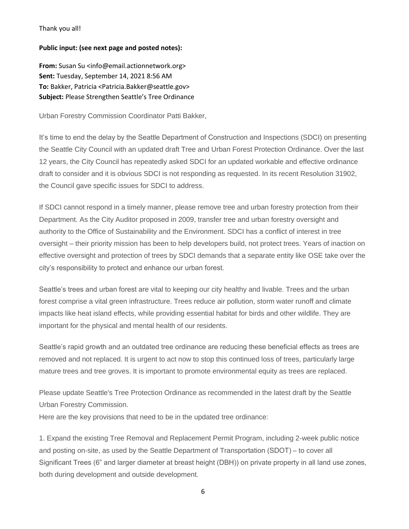#### Thank you all!

#### **Public input: (see next page and posted notes):**

From: Susan Su <info@email.actionnetwork.org> **Sent:** Tuesday, September 14, 2021 8:56 AM **To:** Bakker, Patricia <Patricia.Bakker@seattle.gov> **Subject:** Please Strengthen Seattle's Tree Ordinance

Urban Forestry Commission Coordinator Patti Bakker,

It's time to end the delay by the Seattle Department of Construction and Inspections (SDCI) on presenting the Seattle City Council with an updated draft Tree and Urban Forest Protection Ordinance. Over the last 12 years, the City Council has repeatedly asked SDCI for an updated workable and effective ordinance draft to consider and it is obvious SDCI is not responding as requested. In its recent Resolution 31902, the Council gave specific issues for SDCI to address.

If SDCI cannot respond in a timely manner, please remove tree and urban forestry protection from their Department. As the City Auditor proposed in 2009, transfer tree and urban forestry oversight and authority to the Office of Sustainability and the Environment. SDCI has a conflict of interest in tree oversight – their priority mission has been to help developers build, not protect trees. Years of inaction on effective oversight and protection of trees by SDCI demands that a separate entity like OSE take over the city's responsibility to protect and enhance our urban forest.

Seattle's trees and urban forest are vital to keeping our city healthy and livable. Trees and the urban forest comprise a vital green infrastructure. Trees reduce air pollution, storm water runoff and climate impacts like heat island effects, while providing essential habitat for birds and other wildlife. They are important for the physical and mental health of our residents.

Seattle's rapid growth and an outdated tree ordinance are reducing these beneficial effects as trees are removed and not replaced. It is urgent to act now to stop this continued loss of trees, particularly large mature trees and tree groves. It is important to promote environmental equity as trees are replaced.

Please update Seattle's Tree Protection Ordinance as recommended in the latest draft by the Seattle Urban Forestry Commission.

Here are the key provisions that need to be in the updated tree ordinance:

1. Expand the existing Tree Removal and Replacement Permit Program, including 2-week public notice and posting on-site, as used by the Seattle Department of Transportation (SDOT) – to cover all Significant Trees (6" and larger diameter at breast height (DBH)) on private property in all land use zones, both during development and outside development.

6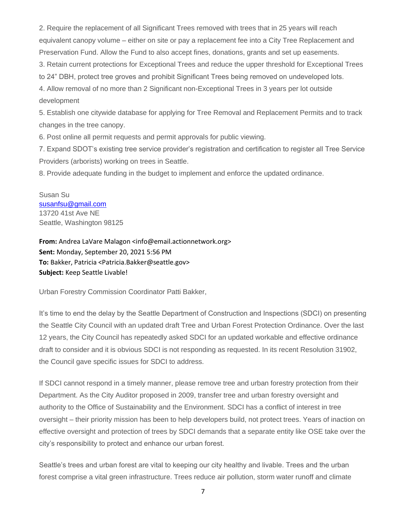2. Require the replacement of all Significant Trees removed with trees that in 25 years will reach equivalent canopy volume – either on site or pay a replacement fee into a City Tree Replacement and Preservation Fund. Allow the Fund to also accept fines, donations, grants and set up easements.

3. Retain current protections for Exceptional Trees and reduce the upper threshold for Exceptional Trees to 24" DBH, protect tree groves and prohibit Significant Trees being removed on undeveloped lots.

4. Allow removal of no more than 2 Significant non-Exceptional Trees in 3 years per lot outside development

5. Establish one citywide database for applying for Tree Removal and Replacement Permits and to track changes in the tree canopy.

6. Post online all permit requests and permit approvals for public viewing.

7. Expand SDOT's existing tree service provider's registration and certification to register all Tree Service Providers (arborists) working on trees in Seattle.

8. Provide adequate funding in the budget to implement and enforce the updated ordinance.

Susan Su [susanfsu@gmail.com](mailto:susanfsu@gmail.com) 13720 41st Ave NE Seattle, Washington 98125

**From:** Andrea LaVare Malagon <info@email.actionnetwork.org> **Sent:** Monday, September 20, 2021 5:56 PM **To:** Bakker, Patricia <Patricia.Bakker@seattle.gov> **Subject:** Keep Seattle Livable!

Urban Forestry Commission Coordinator Patti Bakker,

It's time to end the delay by the Seattle Department of Construction and Inspections (SDCI) on presenting the Seattle City Council with an updated draft Tree and Urban Forest Protection Ordinance. Over the last 12 years, the City Council has repeatedly asked SDCI for an updated workable and effective ordinance draft to consider and it is obvious SDCI is not responding as requested. In its recent Resolution 31902, the Council gave specific issues for SDCI to address.

If SDCI cannot respond in a timely manner, please remove tree and urban forestry protection from their Department. As the City Auditor proposed in 2009, transfer tree and urban forestry oversight and authority to the Office of Sustainability and the Environment. SDCI has a conflict of interest in tree oversight – their priority mission has been to help developers build, not protect trees. Years of inaction on effective oversight and protection of trees by SDCI demands that a separate entity like OSE take over the city's responsibility to protect and enhance our urban forest.

Seattle's trees and urban forest are vital to keeping our city healthy and livable. Trees and the urban forest comprise a vital green infrastructure. Trees reduce air pollution, storm water runoff and climate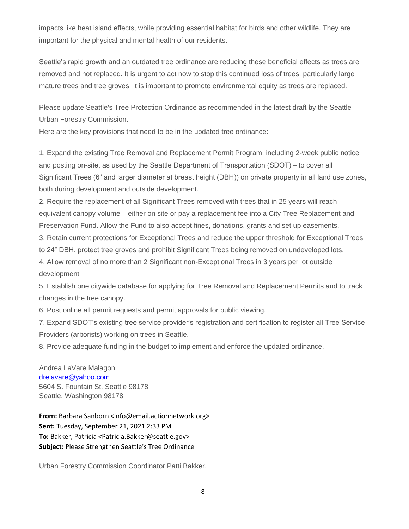impacts like heat island effects, while providing essential habitat for birds and other wildlife. They are important for the physical and mental health of our residents.

Seattle's rapid growth and an outdated tree ordinance are reducing these beneficial effects as trees are removed and not replaced. It is urgent to act now to stop this continued loss of trees, particularly large mature trees and tree groves. It is important to promote environmental equity as trees are replaced.

Please update Seattle's Tree Protection Ordinance as recommended in the latest draft by the Seattle Urban Forestry Commission.

Here are the key provisions that need to be in the updated tree ordinance:

1. Expand the existing Tree Removal and Replacement Permit Program, including 2-week public notice and posting on-site, as used by the Seattle Department of Transportation (SDOT) – to cover all Significant Trees (6" and larger diameter at breast height (DBH)) on private property in all land use zones, both during development and outside development.

2. Require the replacement of all Significant Trees removed with trees that in 25 years will reach equivalent canopy volume – either on site or pay a replacement fee into a City Tree Replacement and Preservation Fund. Allow the Fund to also accept fines, donations, grants and set up easements.

3. Retain current protections for Exceptional Trees and reduce the upper threshold for Exceptional Trees to 24" DBH, protect tree groves and prohibit Significant Trees being removed on undeveloped lots.

4. Allow removal of no more than 2 Significant non-Exceptional Trees in 3 years per lot outside development

5. Establish one citywide database for applying for Tree Removal and Replacement Permits and to track changes in the tree canopy.

6. Post online all permit requests and permit approvals for public viewing.

7. Expand SDOT's existing tree service provider's registration and certification to register all Tree Service Providers (arborists) working on trees in Seattle.

8. Provide adequate funding in the budget to implement and enforce the updated ordinance.

Andrea LaVare Malagon [drelavare@yahoo.com](mailto:drelavare@yahoo.com) 5604 S. Fountain St. Seattle 98178 Seattle, Washington 98178

**From:** Barbara Sanborn <info@email.actionnetwork.org> **Sent:** Tuesday, September 21, 2021 2:33 PM **To:** Bakker, Patricia <Patricia.Bakker@seattle.gov> **Subject:** Please Strengthen Seattle's Tree Ordinance

Urban Forestry Commission Coordinator Patti Bakker,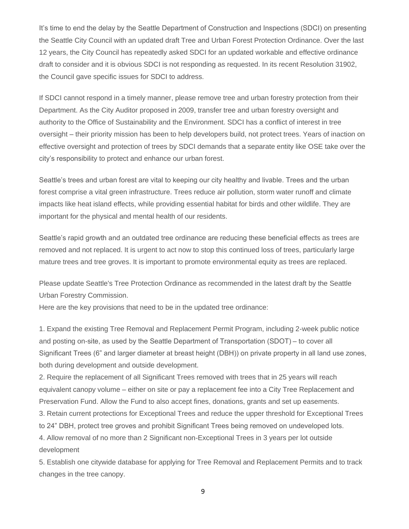It's time to end the delay by the Seattle Department of Construction and Inspections (SDCI) on presenting the Seattle City Council with an updated draft Tree and Urban Forest Protection Ordinance. Over the last 12 years, the City Council has repeatedly asked SDCI for an updated workable and effective ordinance draft to consider and it is obvious SDCI is not responding as requested. In its recent Resolution 31902, the Council gave specific issues for SDCI to address.

If SDCI cannot respond in a timely manner, please remove tree and urban forestry protection from their Department. As the City Auditor proposed in 2009, transfer tree and urban forestry oversight and authority to the Office of Sustainability and the Environment. SDCI has a conflict of interest in tree oversight – their priority mission has been to help developers build, not protect trees. Years of inaction on effective oversight and protection of trees by SDCI demands that a separate entity like OSE take over the city's responsibility to protect and enhance our urban forest.

Seattle's trees and urban forest are vital to keeping our city healthy and livable. Trees and the urban forest comprise a vital green infrastructure. Trees reduce air pollution, storm water runoff and climate impacts like heat island effects, while providing essential habitat for birds and other wildlife. They are important for the physical and mental health of our residents.

Seattle's rapid growth and an outdated tree ordinance are reducing these beneficial effects as trees are removed and not replaced. It is urgent to act now to stop this continued loss of trees, particularly large mature trees and tree groves. It is important to promote environmental equity as trees are replaced.

Please update Seattle's Tree Protection Ordinance as recommended in the latest draft by the Seattle Urban Forestry Commission.

Here are the key provisions that need to be in the updated tree ordinance:

1. Expand the existing Tree Removal and Replacement Permit Program, including 2-week public notice and posting on-site, as used by the Seattle Department of Transportation (SDOT) – to cover all Significant Trees (6" and larger diameter at breast height (DBH)) on private property in all land use zones, both during development and outside development.

2. Require the replacement of all Significant Trees removed with trees that in 25 years will reach equivalent canopy volume – either on site or pay a replacement fee into a City Tree Replacement and Preservation Fund. Allow the Fund to also accept fines, donations, grants and set up easements.

3. Retain current protections for Exceptional Trees and reduce the upper threshold for Exceptional Trees to 24" DBH, protect tree groves and prohibit Significant Trees being removed on undeveloped lots.

4. Allow removal of no more than 2 Significant non-Exceptional Trees in 3 years per lot outside development

5. Establish one citywide database for applying for Tree Removal and Replacement Permits and to track changes in the tree canopy.

9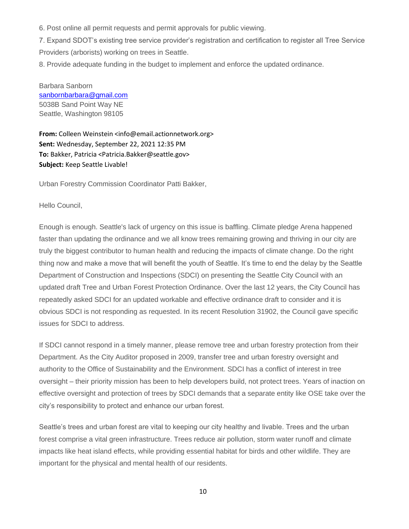6. Post online all permit requests and permit approvals for public viewing.

7. Expand SDOT's existing tree service provider's registration and certification to register all Tree Service Providers (arborists) working on trees in Seattle.

8. Provide adequate funding in the budget to implement and enforce the updated ordinance.

Barbara Sanborn [sanbornbarbara@gmail.com](mailto:sanbornbarbara@gmail.com) 5038B Sand Point Way NE Seattle, Washington 98105

**From:** Colleen Weinstein <info@email.actionnetwork.org> **Sent:** Wednesday, September 22, 2021 12:35 PM **To:** Bakker, Patricia <Patricia.Bakker@seattle.gov> **Subject:** Keep Seattle Livable!

Urban Forestry Commission Coordinator Patti Bakker,

Hello Council,

Enough is enough. Seattle's lack of urgency on this issue is baffling. Climate pledge Arena happened faster than updating the ordinance and we all know trees remaining growing and thriving in our city are truly the biggest contributor to human health and reducing the impacts of climate change. Do the right thing now and make a move that will benefit the youth of Seattle. It's time to end the delay by the Seattle Department of Construction and Inspections (SDCI) on presenting the Seattle City Council with an updated draft Tree and Urban Forest Protection Ordinance. Over the last 12 years, the City Council has repeatedly asked SDCI for an updated workable and effective ordinance draft to consider and it is obvious SDCI is not responding as requested. In its recent Resolution 31902, the Council gave specific issues for SDCI to address.

If SDCI cannot respond in a timely manner, please remove tree and urban forestry protection from their Department. As the City Auditor proposed in 2009, transfer tree and urban forestry oversight and authority to the Office of Sustainability and the Environment. SDCI has a conflict of interest in tree oversight – their priority mission has been to help developers build, not protect trees. Years of inaction on effective oversight and protection of trees by SDCI demands that a separate entity like OSE take over the city's responsibility to protect and enhance our urban forest.

Seattle's trees and urban forest are vital to keeping our city healthy and livable. Trees and the urban forest comprise a vital green infrastructure. Trees reduce air pollution, storm water runoff and climate impacts like heat island effects, while providing essential habitat for birds and other wildlife. They are important for the physical and mental health of our residents.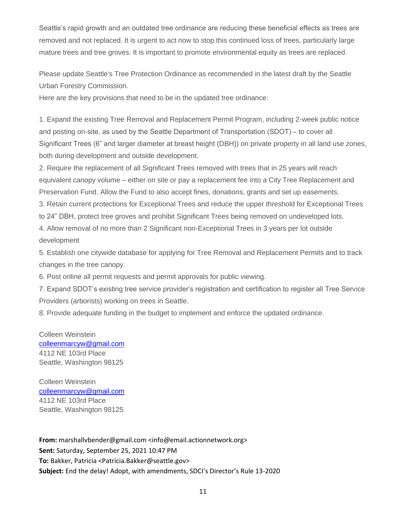Seattle's rapid growth and an outdated tree ordinance are reducing these beneficial effects as trees are removed and not replaced. It is urgent to act now to stop this continued loss of trees, particularly large mature trees and tree groves. It is important to promote environmental equity as trees are replaced.

Please update Seattle's Tree Protection Ordinance as recommended in the latest draft by the Seattle Urban Forestry Commission.

Here are the key provisions that need to be in the updated tree ordinance:

1. Expand the existing Tree Removal and Replacement Permit Program, including 2-week public notice and posting on-site, as used by the Seattle Department of Transportation (SDOT) – to cover all Significant Trees (6" and larger diameter at breast height (DBH)) on private property in all land use zones, both during development and outside development.

2. Require the replacement of all Significant Trees removed with trees that in 25 years will reach equivalent canopy volume – either on site or pay a replacement fee into a City Tree Replacement and Preservation Fund. Allow the Fund to also accept fines, donations, grants and set up easements.

3. Retain current protections for Exceptional Trees and reduce the upper threshold for Exceptional Trees to 24" DBH, protect tree groves and prohibit Significant Trees being removed on undeveloped lots.

4. Allow removal of no more than 2 Significant non-Exceptional Trees in 3 years per lot outside development

5. Establish one citywide database for applying for Tree Removal and Replacement Permits and to track changes in the tree canopy.

6. Post online all permit requests and permit approvals for public viewing.

7. Expand SDOT's existing tree service provider's registration and certification to register all Tree Service Providers (arborists) working on trees in Seattle.

8. Provide adequate funding in the budget to implement and enforce the updated ordinance.

Colleen Weinstein [colleenmarcyw@gmail.com](mailto:colleenmarcyw@gmail.com) 4112 NE 103rd Place Seattle, Washington 98125

Colleen Weinstein [colleenmarcyw@gmail.com](mailto:colleenmarcyw@gmail.com) 4112 NE 103rd Place Seattle, Washington 98125

**From:** marshallvbender@gmail.com <info@email.actionnetwork.org> **Sent:** Saturday, September 25, 2021 10:47 PM **To:** Bakker, Patricia <Patricia.Bakker@seattle.gov> **Subject:** End the delay! Adopt, with amendments, SDCI's Director's Rule 13-2020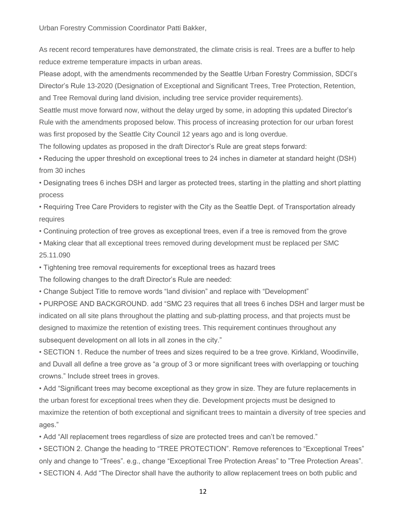Urban Forestry Commission Coordinator Patti Bakker,

As recent record temperatures have demonstrated, the climate crisis is real. Trees are a buffer to help reduce extreme temperature impacts in urban areas.

Please adopt, with the amendments recommended by the Seattle Urban Forestry Commission, SDCI's Director's Rule 13-2020 (Designation of Exceptional and Significant Trees, Tree Protection, Retention, and Tree Removal during land division, including tree service provider requirements).

Seattle must move forward now, without the delay urged by some, in adopting this updated Director's Rule with the amendments proposed below. This process of increasing protection for our urban forest was first proposed by the Seattle City Council 12 years ago and is long overdue.

The following updates as proposed in the draft Director's Rule are great steps forward:

• Reducing the upper threshold on exceptional trees to 24 inches in diameter at standard height (DSH) from 30 inches

• Designating trees 6 inches DSH and larger as protected trees, starting in the platting and short platting process

• Requiring Tree Care Providers to register with the City as the Seattle Dept. of Transportation already requires

• Continuing protection of tree groves as exceptional trees, even if a tree is removed from the grove

• Making clear that all exceptional trees removed during development must be replaced per SMC 25.11.090

• Tightening tree removal requirements for exceptional trees as hazard trees

The following changes to the draft Director's Rule are needed:

• Change Subject Title to remove words "land division" and replace with "Development"

• PURPOSE AND BACKGROUND. add "SMC 23 requires that all trees 6 inches DSH and larger must be indicated on all site plans throughout the platting and sub-platting process, and that projects must be designed to maximize the retention of existing trees. This requirement continues throughout any subsequent development on all lots in all zones in the city."

• SECTION 1. Reduce the number of trees and sizes required to be a tree grove. Kirkland, Woodinville, and Duvall all define a tree grove as "a group of 3 or more significant trees with overlapping or touching crowns." Include street trees in groves.

• Add "Significant trees may become exceptional as they grow in size. They are future replacements in the urban forest for exceptional trees when they die. Development projects must be designed to maximize the retention of both exceptional and significant trees to maintain a diversity of tree species and ages."

• Add "All replacement trees regardless of size are protected trees and can't be removed."

• SECTION 2. Change the heading to "TREE PROTECTION". Remove references to "Exceptional Trees" only and change to "Trees". e.g., change "Exceptional Tree Protection Areas" to "Tree Protection Areas".

• SECTION 4. Add "The Director shall have the authority to allow replacement trees on both public and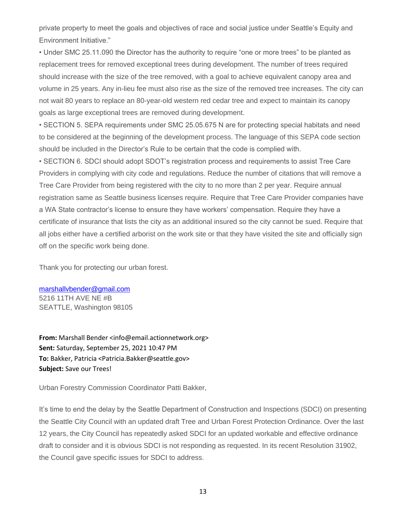private property to meet the goals and objectives of race and social justice under Seattle's Equity and Environment Initiative."

• Under SMC 25.11.090 the Director has the authority to require "one or more trees" to be planted as replacement trees for removed exceptional trees during development. The number of trees required should increase with the size of the tree removed, with a goal to achieve equivalent canopy area and volume in 25 years. Any in-lieu fee must also rise as the size of the removed tree increases. The city can not wait 80 years to replace an 80-year-old western red cedar tree and expect to maintain its canopy goals as large exceptional trees are removed during development.

• SECTION 5. SEPA requirements under SMC 25.05.675 N are for protecting special habitats and need to be considered at the beginning of the development process. The language of this SEPA code section should be included in the Director's Rule to be certain that the code is complied with.

• SECTION 6. SDCI should adopt SDOT's registration process and requirements to assist Tree Care Providers in complying with city code and regulations. Reduce the number of citations that will remove a Tree Care Provider from being registered with the city to no more than 2 per year. Require annual registration same as Seattle business licenses require. Require that Tree Care Provider companies have a WA State contractor's license to ensure they have workers' compensation. Require they have a certificate of insurance that lists the city as an additional insured so the city cannot be sued. Require that all jobs either have a certified arborist on the work site or that they have visited the site and officially sign off on the specific work being done.

Thank you for protecting our urban forest.

[marshallvbender@gmail.com](mailto:marshallvbender@gmail.com) 5216 11TH AVE NE #B SEATTLE, Washington 98105

**From:** Marshall Bender <info@email.actionnetwork.org> **Sent:** Saturday, September 25, 2021 10:47 PM **To:** Bakker, Patricia <Patricia.Bakker@seattle.gov> **Subject:** Save our Trees!

Urban Forestry Commission Coordinator Patti Bakker,

It's time to end the delay by the Seattle Department of Construction and Inspections (SDCI) on presenting the Seattle City Council with an updated draft Tree and Urban Forest Protection Ordinance. Over the last 12 years, the City Council has repeatedly asked SDCI for an updated workable and effective ordinance draft to consider and it is obvious SDCI is not responding as requested. In its recent Resolution 31902, the Council gave specific issues for SDCI to address.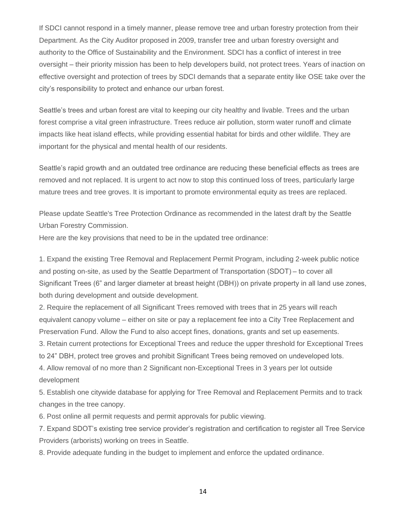If SDCI cannot respond in a timely manner, please remove tree and urban forestry protection from their Department. As the City Auditor proposed in 2009, transfer tree and urban forestry oversight and authority to the Office of Sustainability and the Environment. SDCI has a conflict of interest in tree oversight – their priority mission has been to help developers build, not protect trees. Years of inaction on effective oversight and protection of trees by SDCI demands that a separate entity like OSE take over the city's responsibility to protect and enhance our urban forest.

Seattle's trees and urban forest are vital to keeping our city healthy and livable. Trees and the urban forest comprise a vital green infrastructure. Trees reduce air pollution, storm water runoff and climate impacts like heat island effects, while providing essential habitat for birds and other wildlife. They are important for the physical and mental health of our residents.

Seattle's rapid growth and an outdated tree ordinance are reducing these beneficial effects as trees are removed and not replaced. It is urgent to act now to stop this continued loss of trees, particularly large mature trees and tree groves. It is important to promote environmental equity as trees are replaced.

Please update Seattle's Tree Protection Ordinance as recommended in the latest draft by the Seattle Urban Forestry Commission.

Here are the key provisions that need to be in the updated tree ordinance:

1. Expand the existing Tree Removal and Replacement Permit Program, including 2-week public notice and posting on-site, as used by the Seattle Department of Transportation (SDOT) – to cover all Significant Trees (6" and larger diameter at breast height (DBH)) on private property in all land use zones, both during development and outside development.

2. Require the replacement of all Significant Trees removed with trees that in 25 years will reach equivalent canopy volume – either on site or pay a replacement fee into a City Tree Replacement and Preservation Fund. Allow the Fund to also accept fines, donations, grants and set up easements.

3. Retain current protections for Exceptional Trees and reduce the upper threshold for Exceptional Trees to 24" DBH, protect tree groves and prohibit Significant Trees being removed on undeveloped lots.

4. Allow removal of no more than 2 Significant non-Exceptional Trees in 3 years per lot outside development

5. Establish one citywide database for applying for Tree Removal and Replacement Permits and to track changes in the tree canopy.

6. Post online all permit requests and permit approvals for public viewing.

7. Expand SDOT's existing tree service provider's registration and certification to register all Tree Service Providers (arborists) working on trees in Seattle.

8. Provide adequate funding in the budget to implement and enforce the updated ordinance.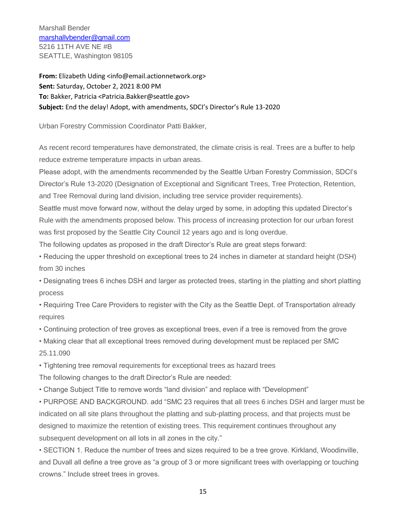Marshall Bender [marshallvbender@gmail.com](mailto:marshallvbender@gmail.com) 5216 11TH AVE NE #B SEATTLE, Washington 98105

**From:** Elizabeth Uding <info@email.actionnetwork.org> **Sent:** Saturday, October 2, 2021 8:00 PM **To:** Bakker, Patricia <Patricia.Bakker@seattle.gov> **Subject:** End the delay! Adopt, with amendments, SDCI's Director's Rule 13-2020

Urban Forestry Commission Coordinator Patti Bakker,

As recent record temperatures have demonstrated, the climate crisis is real. Trees are a buffer to help reduce extreme temperature impacts in urban areas.

Please adopt, with the amendments recommended by the Seattle Urban Forestry Commission, SDCI's Director's Rule 13-2020 (Designation of Exceptional and Significant Trees, Tree Protection, Retention, and Tree Removal during land division, including tree service provider requirements).

Seattle must move forward now, without the delay urged by some, in adopting this updated Director's Rule with the amendments proposed below. This process of increasing protection for our urban forest was first proposed by the Seattle City Council 12 years ago and is long overdue.

The following updates as proposed in the draft Director's Rule are great steps forward:

• Reducing the upper threshold on exceptional trees to 24 inches in diameter at standard height (DSH) from 30 inches

• Designating trees 6 inches DSH and larger as protected trees, starting in the platting and short platting process

• Requiring Tree Care Providers to register with the City as the Seattle Dept. of Transportation already requires

• Continuing protection of tree groves as exceptional trees, even if a tree is removed from the grove

• Making clear that all exceptional trees removed during development must be replaced per SMC 25.11.090

• Tightening tree removal requirements for exceptional trees as hazard trees

The following changes to the draft Director's Rule are needed:

• Change Subject Title to remove words "land division" and replace with "Development"

• PURPOSE AND BACKGROUND. add "SMC 23 requires that all trees 6 inches DSH and larger must be indicated on all site plans throughout the platting and sub-platting process, and that projects must be designed to maximize the retention of existing trees. This requirement continues throughout any subsequent development on all lots in all zones in the city."

• SECTION 1. Reduce the number of trees and sizes required to be a tree grove. Kirkland, Woodinville, and Duvall all define a tree grove as "a group of 3 or more significant trees with overlapping or touching crowns." Include street trees in groves.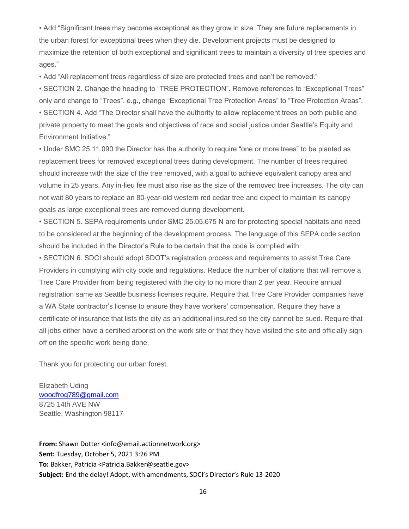• Add "Significant trees may become exceptional as they grow in size. They are future replacements in the urban forest for exceptional trees when they die. Development projects must be designed to maximize the retention of both exceptional and significant trees to maintain a diversity of tree species and ages."

• Add "All replacement trees regardless of size are protected trees and can't be removed."

• SECTION 2. Change the heading to "TREE PROTECTION". Remove references to "Exceptional Trees" only and change to "Trees". e.g., change "Exceptional Tree Protection Areas" to "Tree Protection Areas". • SECTION 4. Add "The Director shall have the authority to allow replacement trees on both public and private property to meet the goals and objectives of race and social justice under Seattle's Equity and Environment Initiative."

• Under SMC 25.11.090 the Director has the authority to require "one or more trees" to be planted as replacement trees for removed exceptional trees during development. The number of trees required should increase with the size of the tree removed, with a goal to achieve equivalent canopy area and volume in 25 years. Any in-lieu fee must also rise as the size of the removed tree increases. The city can not wait 80 years to replace an 80-year-old western red cedar tree and expect to maintain its canopy goals as large exceptional trees are removed during development.

• SECTION 5. SEPA requirements under SMC 25.05.675 N are for protecting special habitats and need to be considered at the beginning of the development process. The language of this SEPA code section should be included in the Director's Rule to be certain that the code is complied with.

• SECTION 6. SDCI should adopt SDOT's registration process and requirements to assist Tree Care Providers in complying with city code and regulations. Reduce the number of citations that will remove a Tree Care Provider from being registered with the city to no more than 2 per year. Require annual registration same as Seattle business licenses require. Require that Tree Care Provider companies have a WA State contractor's license to ensure they have workers' compensation. Require they have a certificate of insurance that lists the city as an additional insured so the city cannot be sued. Require that all jobs either have a certified arborist on the work site or that they have visited the site and officially sign off on the specific work being done.

Thank you for protecting our urban forest.

Elizabeth Uding [woodfrog789@gmail.com](mailto:woodfrog789@gmail.com) 8725 14th AVE NW Seattle, Washington 98117

**From:** Shawn Dotter <info@email.actionnetwork.org> **Sent:** Tuesday, October 5, 2021 3:26 PM **To:** Bakker, Patricia <Patricia.Bakker@seattle.gov> **Subject:** End the delay! Adopt, with amendments, SDCI's Director's Rule 13-2020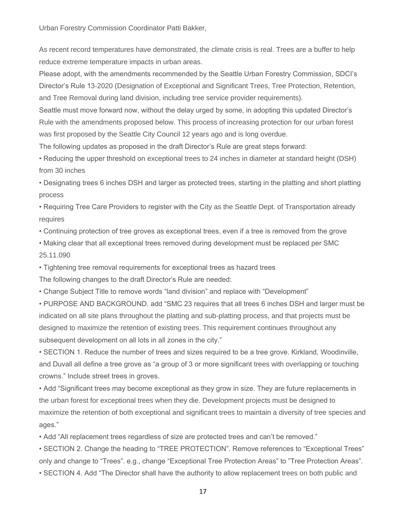Urban Forestry Commission Coordinator Patti Bakker,

As recent record temperatures have demonstrated, the climate crisis is real. Trees are a buffer to help reduce extreme temperature impacts in urban areas.

Please adopt, with the amendments recommended by the Seattle Urban Forestry Commission, SDCI's Director's Rule 13-2020 (Designation of Exceptional and Significant Trees, Tree Protection, Retention, and Tree Removal during land division, including tree service provider requirements).

Seattle must move forward now, without the delay urged by some, in adopting this updated Director's Rule with the amendments proposed below. This process of increasing protection for our urban forest was first proposed by the Seattle City Council 12 years ago and is long overdue.

The following updates as proposed in the draft Director's Rule are great steps forward:

• Reducing the upper threshold on exceptional trees to 24 inches in diameter at standard height (DSH) from 30 inches

• Designating trees 6 inches DSH and larger as protected trees, starting in the platting and short platting process

• Requiring Tree Care Providers to register with the City as the Seattle Dept. of Transportation already requires

• Continuing protection of tree groves as exceptional trees, even if a tree is removed from the grove

• Making clear that all exceptional trees removed during development must be replaced per SMC 25.11.090

• Tightening tree removal requirements for exceptional trees as hazard trees

The following changes to the draft Director's Rule are needed:

• Change Subject Title to remove words "land division" and replace with "Development"

• PURPOSE AND BACKGROUND. add "SMC 23 requires that all trees 6 inches DSH and larger must be indicated on all site plans throughout the platting and sub-platting process, and that projects must be designed to maximize the retention of existing trees. This requirement continues throughout any subsequent development on all lots in all zones in the city."

• SECTION 1. Reduce the number of trees and sizes required to be a tree grove. Kirkland, Woodinville, and Duvall all define a tree grove as "a group of 3 or more significant trees with overlapping or touching crowns." Include street trees in groves.

• Add "Significant trees may become exceptional as they grow in size. They are future replacements in the urban forest for exceptional trees when they die. Development projects must be designed to maximize the retention of both exceptional and significant trees to maintain a diversity of tree species and ages."

• Add "All replacement trees regardless of size are protected trees and can't be removed."

• SECTION 2. Change the heading to "TREE PROTECTION". Remove references to "Exceptional Trees" only and change to "Trees". e.g., change "Exceptional Tree Protection Areas" to "Tree Protection Areas".

• SECTION 4. Add "The Director shall have the authority to allow replacement trees on both public and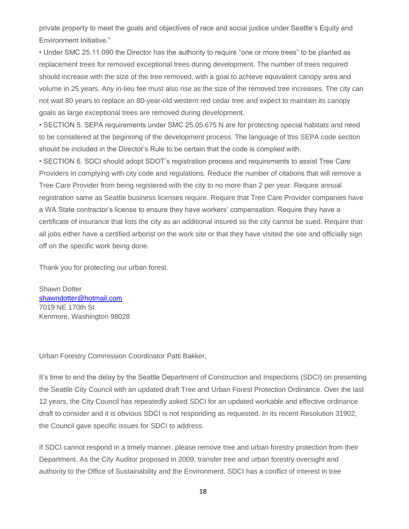private property to meet the goals and objectives of race and social justice under Seattle's Equity and Environment Initiative."

• Under SMC 25.11.090 the Director has the authority to require "one or more trees" to be planted as replacement trees for removed exceptional trees during development. The number of trees required should increase with the size of the tree removed, with a goal to achieve equivalent canopy area and volume in 25 years. Any in-lieu fee must also rise as the size of the removed tree increases. The city can not wait 80 years to replace an 80-year-old western red cedar tree and expect to maintain its canopy goals as large exceptional trees are removed during development.

• SECTION 5. SEPA requirements under SMC 25.05.675 N are for protecting special habitats and need to be considered at the beginning of the development process. The language of this SEPA code section should be included in the Director's Rule to be certain that the code is complied with.

• SECTION 6. SDCI should adopt SDOT's registration process and requirements to assist Tree Care Providers in complying with city code and regulations. Reduce the number of citations that will remove a Tree Care Provider from being registered with the city to no more than 2 per year. Require annual registration same as Seattle business licenses require. Require that Tree Care Provider companies have a WA State contractor's license to ensure they have workers' compensation. Require they have a certificate of insurance that lists the city as an additional insured so the city cannot be sued. Require that all jobs either have a certified arborist on the work site or that they have visited the site and officially sign off on the specific work being done.

Thank you for protecting our urban forest.

Shawn Dotter [shawndotter@hotmail.com](mailto:shawndotter@hotmail.com) 7019 NE 170th St Kenmore, Washington 98028

Urban Forestry Commission Coordinator Patti Bakker,

It's time to end the delay by the Seattle Department of Construction and Inspections (SDCI) on presenting the Seattle City Council with an updated draft Tree and Urban Forest Protection Ordinance. Over the last 12 years, the City Council has repeatedly asked SDCI for an updated workable and effective ordinance draft to consider and it is obvious SDCI is not responding as requested. In its recent Resolution 31902, the Council gave specific issues for SDCI to address.

If SDCI cannot respond in a timely manner, please remove tree and urban forestry protection from their Department. As the City Auditor proposed in 2009, transfer tree and urban forestry oversight and authority to the Office of Sustainability and the Environment. SDCI has a conflict of interest in tree